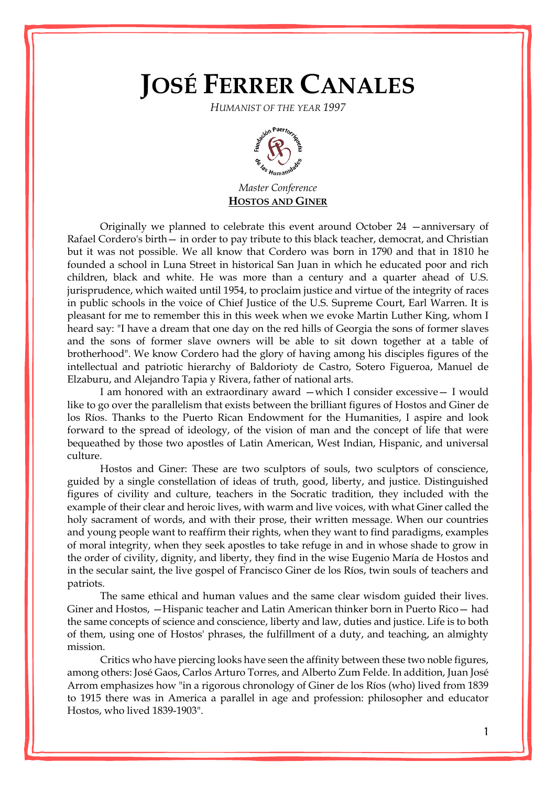## **JOSÉ FERRER CANALES**

*HUMANIST OF THE YEAR 1997*



*Master Conference* **HOSTOS AND GINER**

Originally we planned to celebrate this event around October 24 —anniversary of Rafael Cordero's birth— in order to pay tribute to this black teacher, democrat, and Christian but it was not possible. We all know that Cordero was born in 1790 and that in 1810 he founded a school in Luna Street in historical San Juan in which he educated poor and rich children, black and white. He was more than a century and a quarter ahead of U.S. jurisprudence, which waited until 1954, to proclaim justice and virtue of the integrity of races in public schools in the voice of Chief Justice of the U.S. Supreme Court, Earl Warren. It is pleasant for me to remember this in this week when we evoke Martin Luther King, whom I heard say: "I have a dream that one day on the red hills of Georgia the sons of former slaves and the sons of former slave owners will be able to sit down together at a table of brotherhood". We know Cordero had the glory of having among his disciples figures of the intellectual and patriotic hierarchy of Baldorioty de Castro, Sotero Figueroa, Manuel de Elzaburu, and Alejandro Tapia y Rivera, father of national arts.

I am honored with an extraordinary award —which I consider excessive— I would like to go over the parallelism that exists between the brilliant figures of Hostos and Giner de los Ríos. Thanks to the Puerto Rican Endowment for the Humanities, I aspire and look forward to the spread of ideology, of the vision of man and the concept of life that were bequeathed by those two apostles of Latin American, West Indian, Hispanic, and universal culture.

Hostos and Giner: These are two sculptors of souls, two sculptors of conscience, guided by a single constellation of ideas of truth, good, liberty, and justice. Distinguished figures of civility and culture, teachers in the Socratic tradition, they included with the example of their clear and heroic lives, with warm and live voices, with what Giner called the holy sacrament of words, and with their prose, their written message. When our countries and young people want to reaffirm their rights, when they want to find paradigms, examples of moral integrity, when they seek apostles to take refuge in and in whose shade to grow in the order of civility, dignity, and liberty, they find in the wise Eugenio María de Hostos and in the secular saint, the live gospel of Francisco Giner de los Ríos, twin souls of teachers and patriots.

The same ethical and human values and the same clear wisdom guided their lives. Giner and Hostos, —Hispanic teacher and Latin American thinker born in Puerto Rico— had the same concepts of science and conscience, liberty and law, duties and justice. Life is to both of them, using one of Hostos' phrases, the fulfillment of a duty, and teaching, an almighty mission.

Critics who have piercing looks have seen the affinity between these two noble figures, among others: José Gaos, Carlos Arturo Torres, and Alberto Zum Felde. In addition, Juan José Arrom emphasizes how "in a rigorous chronology of Giner de los Ríos (who) lived from 1839 to 1915 there was in America a parallel in age and profession: philosopher and educator Hostos, who lived 1839-1903".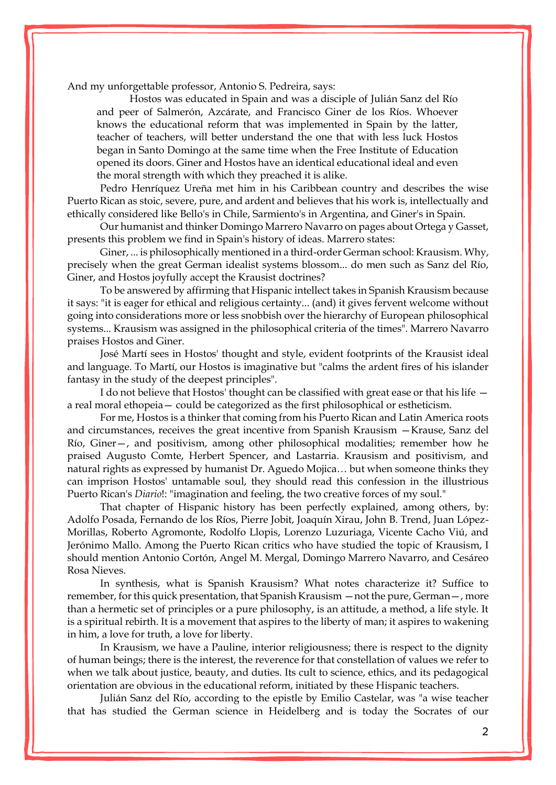And my unforgettable professor, Antonio S. Pedreira, says:

Hostos was educated in Spain and was a disciple of Julián Sanz del Río and peer of Salmerón, Azcárate, and Francisco Giner de los Ríos. Whoever knows the educational reform that was implemented in Spain by the latter, teacher of teachers, will better understand the one that with less luck Hostos began in Santo Domingo at the same time when the Free Institute of Education opened its doors. Giner and Hostos have an identical educational ideal and even the moral strength with which they preached it is alike.

Pedro Henríquez Ureña met him in his Caribbean country and describes the wise Puerto Rican as stoic, severe, pure, and ardent and believes that his work is, intellectually and ethically considered like Bello's in Chile, Sarmiento's in Argentina, and Giner's in Spain.

Our humanist and thinker Domingo Marrero Navarro on pages about Ortega y Gasset, presents this problem we find in Spain's history of ideas. Marrero states:

Giner, ... is philosophically mentioned in a third-order German school: Krausism. Why, precisely when the great German idealist systems blossom... do men such as Sanz del Río, Giner, and Hostos joyfully accept the Krausist doctrines?

To be answered by affirming that Hispanic intellect takes in Spanish Krausism because it says: "it is eager for ethical and religious certainty... (and) it gives fervent welcome without going into considerations more or less snobbish over the hierarchy of European philosophical systems... Krausism was assigned in the philosophical criteria of the times". Marrero Navarro praises Hostos and Giner.

José Martí sees in Hostos' thought and style, evident footprints of the Krausist ideal and language. To Martí, our Hostos is imaginative but "calms the ardent fires of his islander fantasy in the study of the deepest principles".

I do not believe that Hostos' thought can be classified with great ease or that his life a real moral ethopeia— could be categorized as the first philosophical or estheticism.

For me, Hostos is a thinker that coming from his Puerto Rican and Latin America roots and circumstances, receives the great incentive from Spanish Krausism —Krause, Sanz del Río, Giner—, and positivism, among other philosophical modalities; remember how he praised Augusto Comte, Herbert Spencer, and Lastarria. Krausism and positivism, and natural rights as expressed by humanist Dr. Aguedo Mojica… but when someone thinks they can imprison Hostos' untamable soul, they should read this confession in the illustrious Puerto Rican's *Diario*!: "imagination and feeling, the two creative forces of my soul."

That chapter of Hispanic history has been perfectly explained, among others, by: Adolfo Posada, Fernando de los Ríos, Pierre Jobit, Joaquín Xirau, John B. Trend, Juan López-Morillas, Roberto Agromonte, Rodolfo Llopis, Lorenzo Luzuriaga, Vicente Cacho Viú, and Jerónimo Mallo. Among the Puerto Rican critics who have studied the topic of Krausism, I should mention Antonio Cortón, Angel M. Mergal, Domingo Marrero Navarro, and Cesáreo Rosa Nieves.

In synthesis, what is Spanish Krausism? What notes characterize it? Suffice to remember, for this quick presentation, that Spanish Krausism —not the pure, German—, more than a hermetic set of principles or a pure philosophy, is an attitude, a method, a life style. It is a spiritual rebirth. It is a movement that aspires to the liberty of man; it aspires to wakening in him, a love for truth, a love for liberty.

In Krausism, we have a Pauline, interior religiousness; there is respect to the dignity of human beings; there is the interest, the reverence for that constellation of values we refer to when we talk about justice, beauty, and duties. Its cult to science, ethics, and its pedagogical orientation are obvious in the educational reform, initiated by these Hispanic teachers.

Julián Sanz del Río, according to the epistle by Emilio Castelar, was "a wise teacher that has studied the German science in Heidelberg and is today the Socrates of our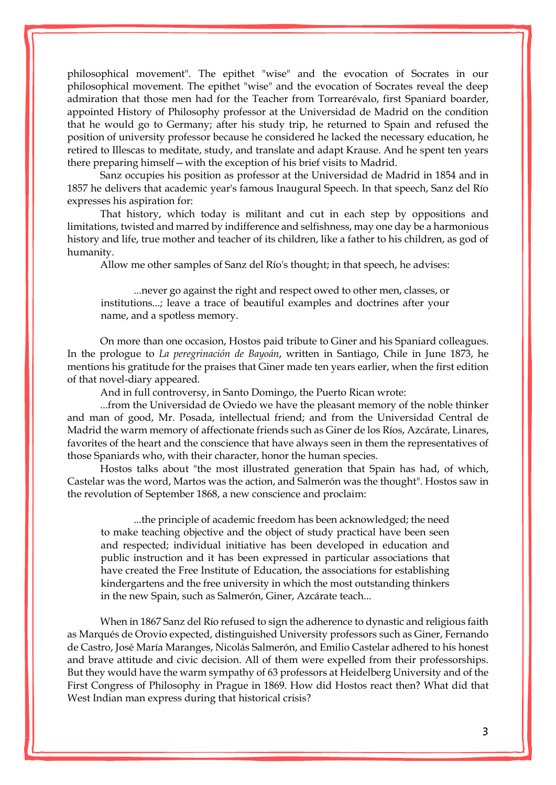philosophical movement". The epithet "wise" and the evocation of Socrates in our philosophical movement. The epithet "wise" and the evocation of Socrates reveal the deep admiration that those men had for the Teacher from Torrearévalo, first Spaniard boarder, appointed History of Philosophy professor at the Universidad de Madrid on the condition that he would go to Germany; after his study trip, he returned to Spain and refused the position of university professor because he considered he lacked the necessary education, he retired to Illescas to meditate, study, and translate and adapt Krause. And he spent ten years there preparing himself—with the exception of his brief visits to Madrid.

Sanz occupies his position as professor at the Universidad de Madrid in 1854 and in 1857 he delivers that academic year's famous Inaugural Speech. In that speech, Sanz del Río expresses his aspiration for:

That history, which today is militant and cut in each step by oppositions and limitations, twisted and marred by indifference and selfishness, may one day be a harmonious history and life, true mother and teacher of its children, like a father to his children, as god of humanity.

Allow me other samples of Sanz del Río's thought; in that speech, he advises:

...never go against the right and respect owed to other men, classes, or institutions...; leave a trace of beautiful examples and doctrines after your name, and a spotless memory.

On more than one occasion, Hostos paid tribute to Giner and his Spaniard colleagues. In the prologue to *La peregrinación de Bayoán*, written in Santiago, Chile in June 1873, he mentions his gratitude for the praises that Giner made ten years earlier, when the first edition of that novel-diary appeared.

And in full controversy, in Santo Domingo, the Puerto Rican wrote:

...from the Universidad de Oviedo we have the pleasant memory of the noble thinker and man of good, Mr. Posada, intellectual friend; and from the Universidad Central de Madrid the warm memory of affectionate friends such as Giner de los Ríos, Azcárate, Linares, favorites of the heart and the conscience that have always seen in them the representatives of those Spaniards who, with their character, honor the human species.

Hostos talks about "the most illustrated generation that Spain has had, of which, Castelar was the word, Martos was the action, and Salmerón was the thought". Hostos saw in the revolution of September 1868, a new conscience and proclaim:

...the principle of academic freedom has been acknowledged; the need to make teaching objective and the object of study practical have been seen and respected; individual initiative has been developed in education and public instruction and it has been expressed in particular associations that have created the Free Institute of Education, the associations for establishing kindergartens and the free university in which the most outstanding thinkers in the new Spain, such as Salmerón, Giner, Azcárate teach...

When in 1867 Sanz del Río refused to sign the adherence to dynastic and religious faith as Marqués de Orovio expected, distinguished University professors such as Giner, Fernando de Castro, José María Maranges, Nicolás Salmerón, and Emilio Castelar adhered to his honest and brave attitude and civic decision. All of them were expelled from their professorships. But they would have the warm sympathy of 63 professors at Heidelberg University and of the First Congress of Philosophy in Prague in 1869. How did Hostos react then? What did that West Indian man express during that historical crisis?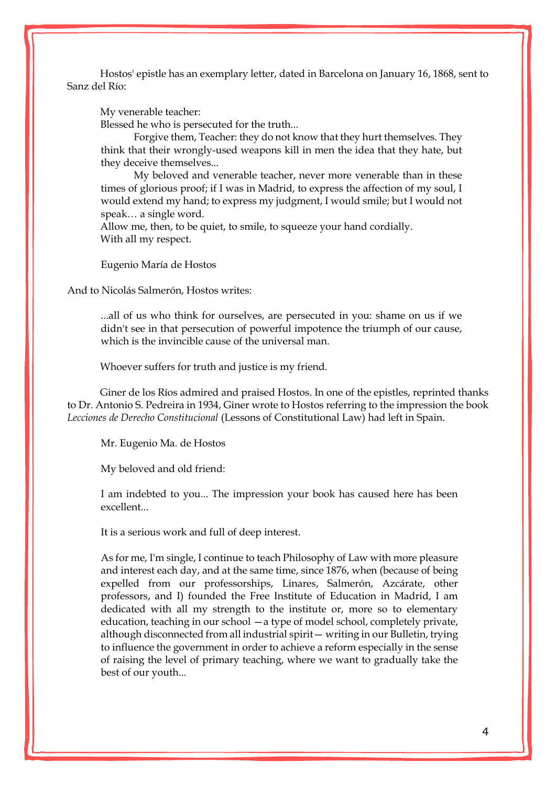Hostos' epistle has an exemplary letter, dated in Barcelona on January 16, 1868, sent to Sanz del Río:

My venerable teacher:

Blessed he who is persecuted for the truth...

Forgive them, Teacher: they do not know that they hurt themselves. They think that their wrongly-used weapons kill in men the idea that they hate, but they deceive themselves...

My beloved and venerable teacher, never more venerable than in these times of glorious proof; if I was in Madrid, to express the affection of my soul, I would extend my hand; to express my judgment, I would smile; but I would not speak… a single word.

Allow me, then, to be quiet, to smile, to squeeze your hand cordially. With all my respect.

Eugenio María de Hostos

And to Nicolás Salmerón, Hostos writes:

...all of us who think for ourselves, are persecuted in you: shame on us if we didn't see in that persecution of powerful impotence the triumph of our cause, which is the invincible cause of the universal man.

Whoever suffers for truth and justice is my friend.

Giner de los Ríos admired and praised Hostos. In one of the epistles, reprinted thanks to Dr. Antonio S. Pedreira in 1934, Giner wrote to Hostos referring to the impression the book *Lecciones de Derecho Constitucional* (Lessons of Constitutional Law) had left in Spain.

Mr. Eugenio Ma. de Hostos

My beloved and old friend:

I am indebted to you... The impression your book has caused here has been excellent...

It is a serious work and full of deep interest.

As for me, I'm single, I continue to teach Philosophy of Law with more pleasure and interest each day, and at the same time, since 1876, when (because of being expelled from our professorships, Linares, Salmerón, Azcárate, other professors, and I) founded the Free Institute of Education in Madrid, I am dedicated with all my strength to the institute or, more so to elementary education, teaching in our school —a type of model school, completely private, although disconnected from all industrial spirit— writing in our Bulletin, trying to influence the government in order to achieve a reform especially in the sense of raising the level of primary teaching, where we want to gradually take the best of our youth...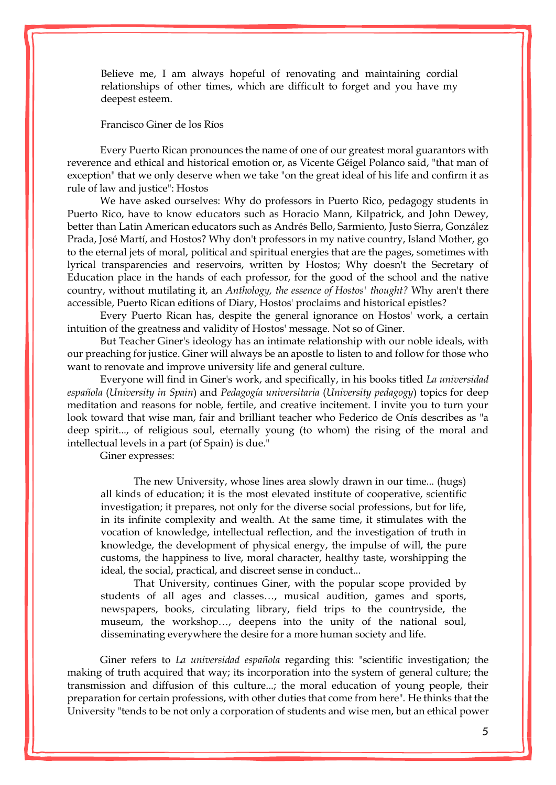Believe me, I am always hopeful of renovating and maintaining cordial relationships of other times, which are difficult to forget and you have my deepest esteem.

Francisco Giner de los Ríos

Every Puerto Rican pronounces the name of one of our greatest moral guarantors with reverence and ethical and historical emotion or, as Vicente Géigel Polanco said, "that man of exception" that we only deserve when we take "on the great ideal of his life and confirm it as rule of law and justice": Hostos

We have asked ourselves: Why do professors in Puerto Rico, pedagogy students in Puerto Rico, have to know educators such as Horacio Mann, Kilpatrick, and John Dewey, better than Latin American educators such as Andrés Bello, Sarmiento, Justo Sierra, González Prada, José Martí, and Hostos? Why don't professors in my native country, Island Mother, go to the eternal jets of moral, political and spiritual energies that are the pages, sometimes with lyrical transparencies and reservoirs, written by Hostos; Why doesn't the Secretary of Education place in the hands of each professor, for the good of the school and the native country, without mutilating it, an *Anthology, the essence of Hostos' thought?* Why aren't there accessible, Puerto Rican editions of Diary, Hostos' proclaims and historical epistles?

Every Puerto Rican has, despite the general ignorance on Hostos' work, a certain intuition of the greatness and validity of Hostos' message. Not so of Giner.

But Teacher Giner's ideology has an intimate relationship with our noble ideals, with our preaching for justice. Giner will always be an apostle to listen to and follow for those who want to renovate and improve university life and general culture.

Everyone will find in Giner's work, and specifically, in his books titled *La universidad española* (*University in Spain*) and *Pedagogía universitaria* (*University pedagogy*) topics for deep meditation and reasons for noble, fertile, and creative incitement. I invite you to turn your look toward that wise man, fair and brilliant teacher who Federico de Onís describes as "a deep spirit..., of religious soul, eternally young (to whom) the rising of the moral and intellectual levels in a part (of Spain) is due."

Giner expresses:

The new University, whose lines area slowly drawn in our time... (hugs) all kinds of education; it is the most elevated institute of cooperative, scientific investigation; it prepares, not only for the diverse social professions, but for life, in its infinite complexity and wealth. At the same time, it stimulates with the vocation of knowledge, intellectual reflection, and the investigation of truth in knowledge, the development of physical energy, the impulse of will, the pure customs, the happiness to live, moral character, healthy taste, worshipping the ideal, the social, practical, and discreet sense in conduct...

That University, continues Giner, with the popular scope provided by students of all ages and classes…, musical audition, games and sports, newspapers, books, circulating library, field trips to the countryside, the museum, the workshop…, deepens into the unity of the national soul, disseminating everywhere the desire for a more human society and life.

Giner refers to *La universidad española* regarding this: "scientific investigation; the making of truth acquired that way; its incorporation into the system of general culture; the transmission and diffusion of this culture...; the moral education of young people, their preparation for certain professions, with other duties that come from here". He thinks that the University "tends to be not only a corporation of students and wise men, but an ethical power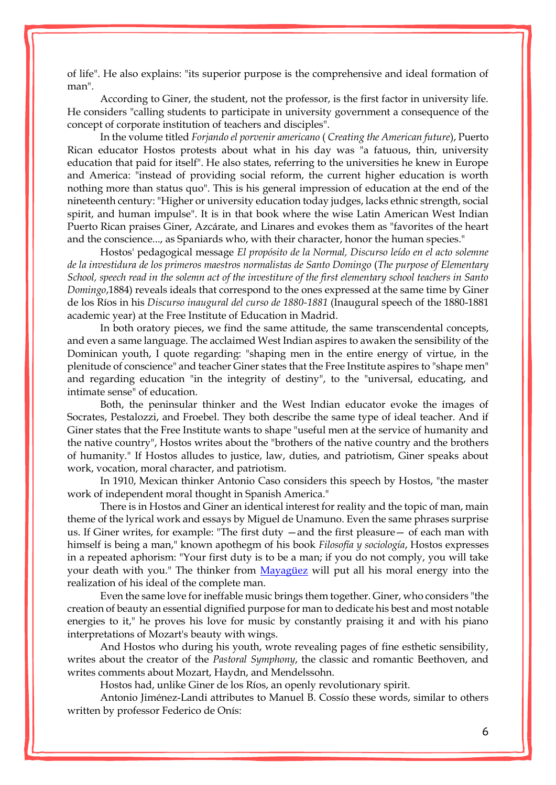of life". He also explains: "its superior purpose is the comprehensive and ideal formation of man".

According to Giner, the student, not the professor, is the first factor in university life. He considers "calling students to participate in university government a consequence of the concept of corporate institution of teachers and disciples".

In the volume titled *Forjando el porvenir americano* ( *Creating the American future*), Puerto Rican educator Hostos protests about what in his day was "a fatuous, thin, university education that paid for itself". He also states, referring to the universities he knew in Europe and America: "instead of providing social reform, the current higher education is worth nothing more than status quo". This is his general impression of education at the end of the nineteenth century: "Higher or university education today judges, lacks ethnic strength, social spirit, and human impulse". It is in that book where the wise Latin American West Indian Puerto Rican praises Giner, Azcárate, and Linares and evokes them as "favorites of the heart and the conscience..., as Spaniards who, with their character, honor the human species."

Hostos' pedagogical message *El propósito de la Normal, Discurso leído en el acto solemne de la investidura de los primeros maestros normalistas de Santo Domingo* (*The purpose of Elementary School, speech read in the solemn act of the investiture of the first elementary school teachers in Santo Domingo*,1884) reveals ideals that correspond to the ones expressed at the same time by Giner de los Ríos in his *Discurso inaugural del curso de 1880-1881* (Inaugural speech of the 1880-1881 academic year) at the Free Institute of Education in Madrid.

In both oratory pieces, we find the same attitude, the same transcendental concepts, and even a same language. The acclaimed West Indian aspires to awaken the sensibility of the Dominican youth, I quote regarding: "shaping men in the entire energy of virtue, in the plenitude of conscience" and teacher Giner states that the Free Institute aspires to "shape men" and regarding education "in the integrity of destiny", to the "universal, educating, and intimate sense" of education.

Both, the peninsular thinker and the West Indian educator evoke the images of Socrates, Pestalozzi, and Froebel. They both describe the same type of ideal teacher. And if Giner states that the Free Institute wants to shape "useful men at the service of humanity and the native country", Hostos writes about the "brothers of the native country and the brothers of humanity." If Hostos alludes to justice, law, duties, and patriotism, Giner speaks about work, vocation, moral character, and patriotism.

In 1910, Mexican thinker Antonio Caso considers this speech by Hostos, "the master work of independent moral thought in Spanish America."

There is in Hostos and Giner an identical interest for reality and the topic of man, main theme of the lyrical work and essays by Miguel de Unamuno. Even the same phrases surprise us. If Giner writes, for example: "The first duty —and the first pleasure— of each man with himself is being a man," known apothegm of his book *Filosofía y sociología*, Hostos expresses in a repeated aphorism: "Your first duty is to be a man; if you do not comply, you will take your death with you." The thinker from [Mayagüez](http://enciclopediapr.org/ing/article.cfm?ref=08021702) will put all his moral energy into the realization of his ideal of the complete man.

Even the same love for ineffable music brings them together. Giner, who considers "the creation of beauty an essential dignified purpose for man to dedicate his best and most notable energies to it," he proves his love for music by constantly praising it and with his piano interpretations of Mozart's beauty with wings.

And Hostos who during his youth, wrote revealing pages of fine esthetic sensibility, writes about the creator of the *Pastoral Symphony*, the classic and romantic Beethoven, and writes comments about Mozart, Haydn, and Mendelssohn.

Hostos had, unlike Giner de los Ríos, an openly revolutionary spirit.

Antonio Jiménez-Landi attributes to Manuel B. Cossío these words, similar to others written by professor Federico de Onís: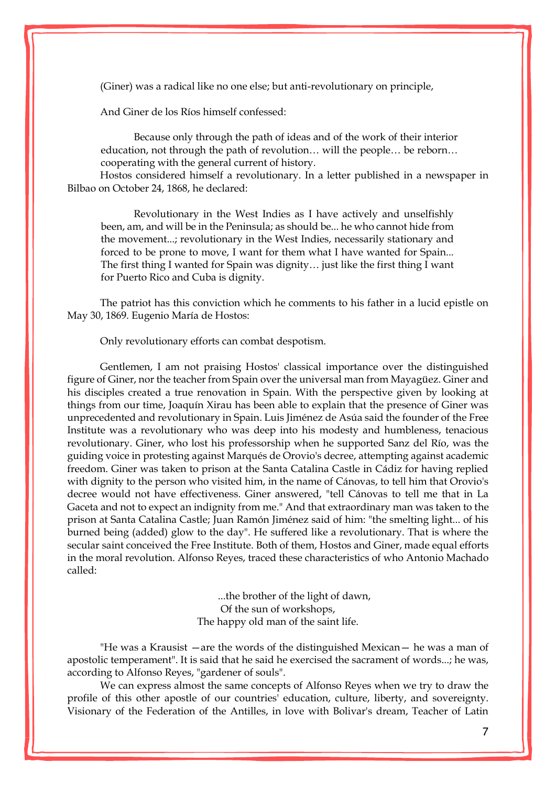(Giner) was a radical like no one else; but anti-revolutionary on principle,

And Giner de los Ríos himself confessed:

Because only through the path of ideas and of the work of their interior education, not through the path of revolution… will the people… be reborn… cooperating with the general current of history.

Hostos considered himself a revolutionary. In a letter published in a newspaper in Bilbao on October 24, 1868, he declared:

Revolutionary in the West Indies as I have actively and unselfishly been, am, and will be in the Peninsula; as should be... he who cannot hide from the movement...; revolutionary in the West Indies, necessarily stationary and forced to be prone to move, I want for them what I have wanted for Spain... The first thing I wanted for Spain was dignity… just like the first thing I want for Puerto Rico and Cuba is dignity.

The patriot has this conviction which he comments to his father in a lucid epistle on May 30, 1869. Eugenio María de Hostos:

Only revolutionary efforts can combat despotism.

Gentlemen, I am not praising Hostos' classical importance over the distinguished figure of Giner, nor the teacher from Spain over the universal man from Mayagüez. Giner and his disciples created a true renovation in Spain. With the perspective given by looking at things from our time, Joaquín Xirau has been able to explain that the presence of Giner was unprecedented and revolutionary in Spain. Luis Jiménez de Asúa said the founder of the Free Institute was a revolutionary who was deep into his modesty and humbleness, tenacious revolutionary. Giner, who lost his professorship when he supported Sanz del Río, was the guiding voice in protesting against Marqués de Orovio's decree, attempting against academic freedom. Giner was taken to prison at the Santa Catalina Castle in Cádiz for having replied with dignity to the person who visited him, in the name of Cánovas, to tell him that Orovio's decree would not have effectiveness. Giner answered, "tell Cánovas to tell me that in La Gaceta and not to expect an indignity from me." And that extraordinary man was taken to the prison at Santa Catalina Castle; Juan Ramón Jiménez said of him: "the smelting light... of his burned being (added) glow to the day". He suffered like a revolutionary. That is where the secular saint conceived the Free Institute. Both of them, Hostos and Giner, made equal efforts in the moral revolution. Alfonso Reyes, traced these characteristics of who Antonio Machado called:

> ...the brother of the light of dawn, Of the sun of workshops, The happy old man of the saint life.

"He was a Krausist —are the words of the distinguished Mexican— he was a man of apostolic temperament". It is said that he said he exercised the sacrament of words...; he was, according to Alfonso Reyes, "gardener of souls".

We can express almost the same concepts of Alfonso Reyes when we try to draw the profile of this other apostle of our countries' education, culture, liberty, and sovereignty. Visionary of the Federation of the Antilles, in love with Bolivar's dream, Teacher of Latin